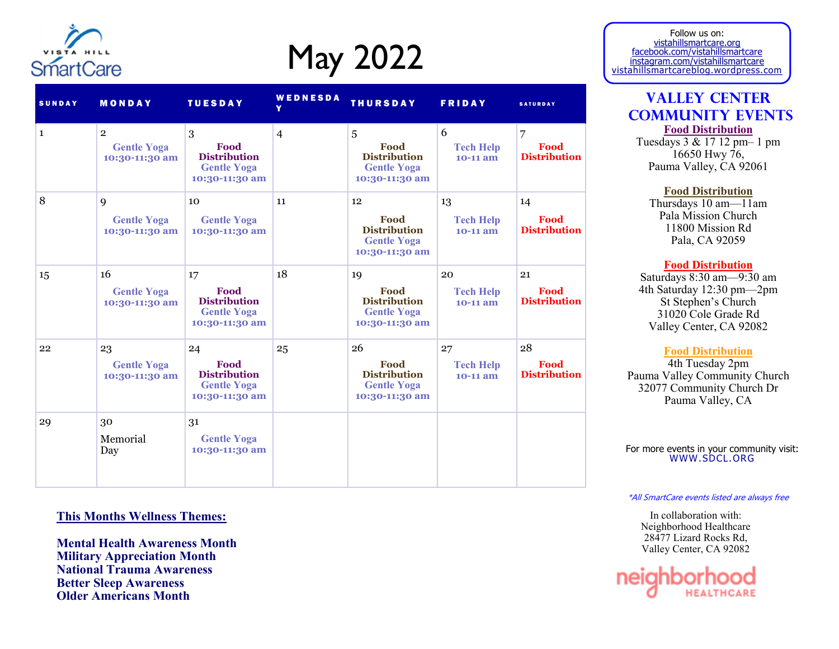

## May 2022

| <b>SUNDAY</b> | <b>MONDAY</b>                                          | <b>TUESDAY</b>                                                            | WEDNESDA       | <b>THURSDAY</b>                                                           | <b>FRIDAY</b>                        | <b>SATURDAY</b>                   |
|---------------|--------------------------------------------------------|---------------------------------------------------------------------------|----------------|---------------------------------------------------------------------------|--------------------------------------|-----------------------------------|
| $\mathbf{1}$  | $\overline{2}$<br><b>Gentle Yoga</b><br>10:30-11:30 am | 3<br>Food<br><b>Distribution</b><br><b>Gentle Yoga</b><br>10:30-11:30 am  | $\overline{4}$ | 5<br>Food<br><b>Distribution</b><br><b>Gentle Yoga</b><br>10:30-11:30 am  | 6<br><b>Tech Help</b><br>$10-11$ am  | 7<br>Food<br><b>Distribution</b>  |
| 8             | 9<br><b>Gentle Yoga</b><br>10:30-11:30 am              | 10<br><b>Gentle Yoga</b><br>10:30-11:30 am                                | 11             | 12<br>Food<br><b>Distribution</b><br><b>Gentle Yoga</b><br>10:30-11:30 am | 13<br><b>Tech Help</b><br>$10-11$ am | 14<br>Food<br><b>Distribution</b> |
| 15            | 16<br><b>Gentle Yoga</b><br>10:30-11:30 am             | 17<br>Food<br><b>Distribution</b><br><b>Gentle Yoga</b><br>10:30-11:30 am | 18             | 19<br>Food<br><b>Distribution</b><br><b>Gentle Yoga</b><br>10:30-11:30 am | 20<br><b>Tech Help</b><br>$10-11$ am | 21<br>Food<br><b>Distribution</b> |
| 22            | 23<br><b>Gentle Yoga</b><br>10:30-11:30 am             | 24<br>Food<br><b>Distribution</b><br><b>Gentle Yoga</b><br>10:30-11:30 am | 25             | 26<br>Food<br><b>Distribution</b><br><b>Gentle Yoga</b><br>10:30-11:30 am | 27<br><b>Tech Help</b><br>10-11 am   | 28<br>Food<br><b>Distribution</b> |
| 29            | 30<br>Memorial<br>Day                                  | 31<br><b>Gentle Yoga</b><br>10:30-11:30 am                                |                |                                                                           |                                      |                                   |

### **This Months Wellness Themes:**

**Mental Health Awareness Month Military Appreciation Month National Trauma Awareness Better Sleep Awareness Older Americans Month**

Follow us on: vistahillsmartcare.org facebook.com/vistahillsmartcare instagram.com/vistahillsmartcare vistahillsmartcareblog.wordpress.com

### **Valley Center Community Events Food Distribution**

Tuesdays 3 & 17 12 pm– 1 pm 16650 Hwy 76, Pauma Valley, CA 92061

**Food Distribution**

Thursdays 10 am—11am Pala Mission Church 11800 Mission Rd Pala, CA 92059

### **Food Distribution**

Saturdays 8:30 am—9:30 am 4th Saturday 12:30 pm—2pm St Stephen's Church 31020 Cole Grade Rd Valley Center, CA 92082

### **Food Distribution**

4th Tuesday 2pm Pauma Valley Community Church 32077 Community Church Dr Pauma Valley, CA

For more events in your community visit: WWW.SDCL.ORG

#### \*All SmartCare events listed are always free

In collaboration with: Neighborhood Healthcare 28477 Lizard Rocks Rd, Valley Center, CA 92082